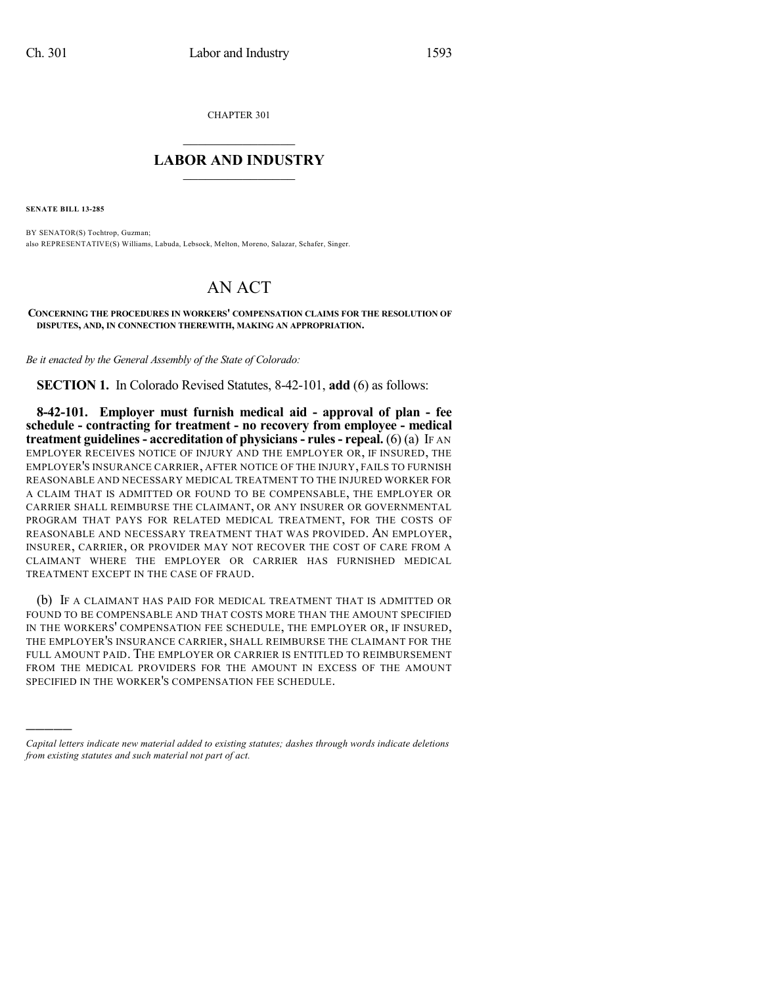CHAPTER 301

## $\overline{\phantom{a}}$  . The set of the set of the set of the set of the set of the set of the set of the set of the set of the set of the set of the set of the set of the set of the set of the set of the set of the set of the set o **LABOR AND INDUSTRY**  $\frac{1}{\sqrt{2}}$  ,  $\frac{1}{\sqrt{2}}$  ,  $\frac{1}{\sqrt{2}}$  ,  $\frac{1}{\sqrt{2}}$  ,  $\frac{1}{\sqrt{2}}$  ,  $\frac{1}{\sqrt{2}}$

**SENATE BILL 13-285**

)))))

BY SENATOR(S) Tochtrop, Guzman; also REPRESENTATIVE(S) Williams, Labuda, Lebsock, Melton, Moreno, Salazar, Schafer, Singer.

## AN ACT

**CONCERNING THE PROCEDURES IN WORKERS' COMPENSATION CLAIMS FOR THE RESOLUTION OF DISPUTES, AND, IN CONNECTION THEREWITH, MAKING AN APPROPRIATION.**

*Be it enacted by the General Assembly of the State of Colorado:*

**SECTION 1.** In Colorado Revised Statutes, 8-42-101, **add** (6) as follows:

**8-42-101. Employer must furnish medical aid - approval of plan - fee schedule - contracting for treatment - no recovery from employee - medical treatment guidelines- accreditation of physicians- rules- repeal.** (6) (a) IF AN EMPLOYER RECEIVES NOTICE OF INJURY AND THE EMPLOYER OR, IF INSURED, THE EMPLOYER'S INSURANCE CARRIER, AFTER NOTICE OF THE INJURY, FAILS TO FURNISH REASONABLE AND NECESSARY MEDICAL TREATMENT TO THE INJURED WORKER FOR A CLAIM THAT IS ADMITTED OR FOUND TO BE COMPENSABLE, THE EMPLOYER OR CARRIER SHALL REIMBURSE THE CLAIMANT, OR ANY INSURER OR GOVERNMENTAL PROGRAM THAT PAYS FOR RELATED MEDICAL TREATMENT, FOR THE COSTS OF REASONABLE AND NECESSARY TREATMENT THAT WAS PROVIDED. AN EMPLOYER, INSURER, CARRIER, OR PROVIDER MAY NOT RECOVER THE COST OF CARE FROM A CLAIMANT WHERE THE EMPLOYER OR CARRIER HAS FURNISHED MEDICAL TREATMENT EXCEPT IN THE CASE OF FRAUD.

(b) IF A CLAIMANT HAS PAID FOR MEDICAL TREATMENT THAT IS ADMITTED OR FOUND TO BE COMPENSABLE AND THAT COSTS MORE THAN THE AMOUNT SPECIFIED IN THE WORKERS' COMPENSATION FEE SCHEDULE, THE EMPLOYER OR, IF INSURED, THE EMPLOYER'S INSURANCE CARRIER, SHALL REIMBURSE THE CLAIMANT FOR THE FULL AMOUNT PAID. THE EMPLOYER OR CARRIER IS ENTITLED TO REIMBURSEMENT FROM THE MEDICAL PROVIDERS FOR THE AMOUNT IN EXCESS OF THE AMOUNT SPECIFIED IN THE WORKER'S COMPENSATION FEE SCHEDULE.

*Capital letters indicate new material added to existing statutes; dashes through words indicate deletions from existing statutes and such material not part of act.*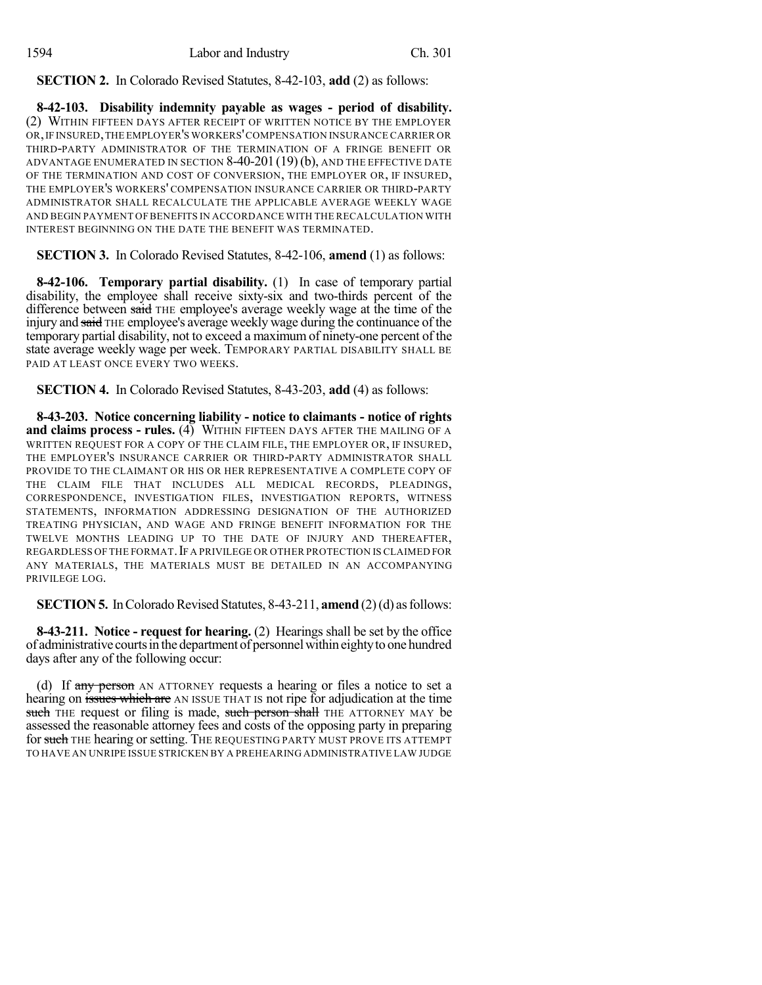**SECTION 2.** In Colorado Revised Statutes, 8-42-103, **add** (2) as follows:

**8-42-103. Disability indemnity payable as wages - period of disability.** (2) WITHIN FIFTEEN DAYS AFTER RECEIPT OF WRITTEN NOTICE BY THE EMPLOYER OR,IF INSURED,THE EMPLOYER'S WORKERS'COMPENSATION INSURANCE CARRIER OR THIRD-PARTY ADMINISTRATOR OF THE TERMINATION OF A FRINGE BENEFIT OR ADVANTAGE ENUMERATED IN SECTION  $8-40-201(19)(b)$ , and the effective date OF THE TERMINATION AND COST OF CONVERSION, THE EMPLOYER OR, IF INSURED, THE EMPLOYER'S WORKERS' COMPENSATION INSURANCE CARRIER OR THIRD-PARTY ADMINISTRATOR SHALL RECALCULATE THE APPLICABLE AVERAGE WEEKLY WAGE AND BEGIN PAYMENT OF BENEFITS IN ACCORDANCE WITH THE RECALCULATION WITH INTEREST BEGINNING ON THE DATE THE BENEFIT WAS TERMINATED.

**SECTION 3.** In Colorado Revised Statutes, 8-42-106, **amend** (1) as follows:

**8-42-106. Temporary partial disability.** (1) In case of temporary partial disability, the employee shall receive sixty-six and two-thirds percent of the difference between said THE employee's average weekly wage at the time of the injury and said THE employee's average weekly wage during the continuance of the temporary partial disability, not to exceed a maximum of ninety-one percent of the state average weekly wage per week. TEMPORARY PARTIAL DISABILITY SHALL BE PAID AT LEAST ONCE EVERY TWO WEEKS.

**SECTION 4.** In Colorado Revised Statutes, 8-43-203, **add** (4) as follows:

**8-43-203. Notice concerning liability - notice to claimants - notice of rights and claims process - rules.** (4) WITHIN FIFTEEN DAYS AFTER THE MAILING OF A WRITTEN REQUEST FOR A COPY OF THE CLAIM FILE, THE EMPLOYER OR, IF INSURED, THE EMPLOYER'S INSURANCE CARRIER OR THIRD-PARTY ADMINISTRATOR SHALL PROVIDE TO THE CLAIMANT OR HIS OR HER REPRESENTATIVE A COMPLETE COPY OF THE CLAIM FILE THAT INCLUDES ALL MEDICAL RECORDS, PLEADINGS, CORRESPONDENCE, INVESTIGATION FILES, INVESTIGATION REPORTS, WITNESS STATEMENTS, INFORMATION ADDRESSING DESIGNATION OF THE AUTHORIZED TREATING PHYSICIAN, AND WAGE AND FRINGE BENEFIT INFORMATION FOR THE TWELVE MONTHS LEADING UP TO THE DATE OF INJURY AND THEREAFTER, REGARDLESS OF THE FORMAT.IF A PRIVILEGE OR OTHER PROTECTION IS CLAIMED FOR ANY MATERIALS, THE MATERIALS MUST BE DETAILED IN AN ACCOMPANYING PRIVILEGE LOG.

**SECTION 5.** In Colorado Revised Statutes, 8-43-211, **amend** (2)(d) as follows:

**8-43-211. Notice - request for hearing.** (2) Hearings shall be set by the office of administrative courts in the department of personnel within eighty to one hundred days after any of the following occur:

(d) If any person AN ATTORNEY requests a hearing or files a notice to set a hearing on issues which are AN ISSUE THAT IS not ripe for adjudication at the time such THE request or filing is made, such person shall THE ATTORNEY MAY be assessed the reasonable attorney fees and costs of the opposing party in preparing for such THE hearing or setting. THE REQUESTING PARTY MUST PROVE ITS ATTEMPT TO HAVE AN UNRIPE ISSUE STRICKEN BY A PREHEARING ADMINISTRATIVE LAW JUDGE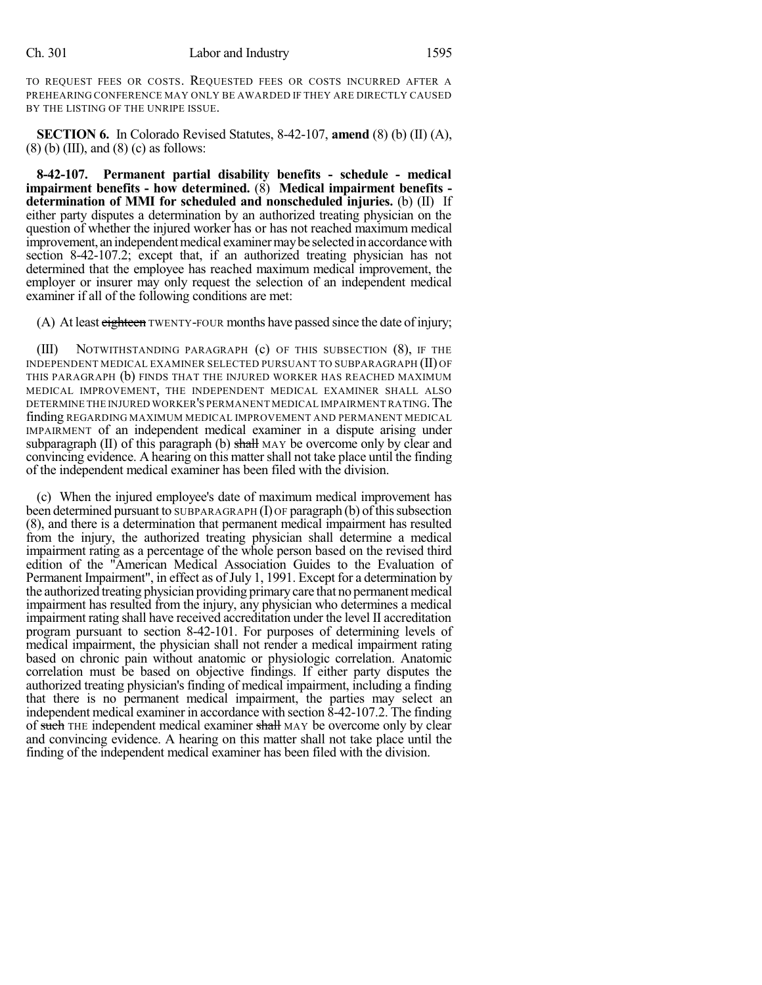TO REQUEST FEES OR COSTS. REQUESTED FEES OR COSTS INCURRED AFTER A PREHEARING CONFERENCE MAY ONLY BE AWARDED IF THEY ARE DIRECTLY CAUSED BY THE LISTING OF THE UNRIPE ISSUE.

**SECTION 6.** In Colorado Revised Statutes, 8-42-107, **amend** (8) (b) (II) (A),  $(8)$  (b) (III), and  $(8)$  (c) as follows:

**8-42-107. Permanent partial disability benefits - schedule - medical impairment benefits - how determined.** (8) **Medical impairment benefits determination of MMI for scheduled and nonscheduled injuries.** (b) (II) If either party disputes a determination by an authorized treating physician on the question of whether the injured worker has or has not reached maximum medical improvement, an independent medical examiner may be selected in accordance with section 8-42-107.2; except that, if an authorized treating physician has not determined that the employee has reached maximum medical improvement, the employer or insurer may only request the selection of an independent medical examiner if all of the following conditions are met:

(A) At least eighteen TWENTY-FOUR months have passed since the date of injury;

(III) NOTWITHSTANDING PARAGRAPH (c) OF THIS SUBSECTION (8), IF THE INDEPENDENT MEDICAL EXAMINER SELECTED PURSUANT TO SUBPARAGRAPH (II) OF THIS PARAGRAPH (b) FINDS THAT THE INJURED WORKER HAS REACHED MAXIMUM MEDICAL IMPROVEMENT, THE INDEPENDENT MEDICAL EXAMINER SHALL ALSO DETERMINE THE INJURED WORKER'S PERMANENT MEDICAL IMPAIRMENT RATING. The finding REGARDING MAXIMUM MEDICAL IMPROVEMENT AND PERMANENT MEDICAL IMPAIRMENT of an independent medical examiner in a dispute arising under subparagraph  $(II)$  of this paragraph  $(b)$  shall MAY be overcome only by clear and convincing evidence. A hearing on this matter shall not take place until the finding of the independent medical examiner has been filed with the division.

(c) When the injured employee's date of maximum medical improvement has been determined pursuant to SUBPARAGRAPH  $(I)$  OF paragraph  $(b)$  of this subsection (8), and there is a determination that permanent medical impairment has resulted from the injury, the authorized treating physician shall determine a medical impairment rating as a percentage of the whole person based on the revised third edition of the "American Medical Association Guides to the Evaluation of Permanent Impairment", in effect as of July 1, 1991. Except for a determination by the authorized treating physician providing primary care that no permanent medical impairment has resulted from the injury, any physician who determines a medical impairment rating shall have received accreditation under the level II accreditation program pursuant to section 8-42-101. For purposes of determining levels of medical impairment, the physician shall not render a medical impairment rating based on chronic pain without anatomic or physiologic correlation. Anatomic correlation must be based on objective findings. If either party disputes the authorized treating physician's finding of medical impairment, including a finding that there is no permanent medical impairment, the parties may select an independent medical examiner in accordance with section 8-42-107.2. The finding of such THE independent medical examiner shall MAY be overcome only by clear and convincing evidence. A hearing on this matter shall not take place until the finding of the independent medical examiner has been filed with the division.